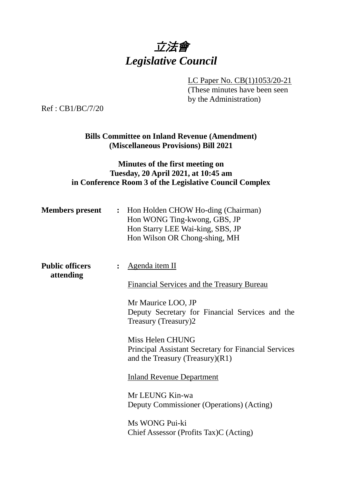

LC Paper No. CB(1)1053/20-21

(These minutes have been seen by the Administration)

Ref : CB1/BC/7/20

**Bills Committee on Inland Revenue (Amendment) (Miscellaneous Provisions) Bill 2021**

## **Minutes of the first meeting on Tuesday, 20 April 2021, at 10:45 am in Conference Room 3 of the Legislative Council Complex**

| <b>Members</b> present              | : Hon Holden CHOW Ho-ding (Chairman)<br>Hon WONG Ting-kwong, GBS, JP<br>Hon Starry LEE Wai-king, SBS, JP<br>Hon Wilson OR Chong-shing, MH |
|-------------------------------------|-------------------------------------------------------------------------------------------------------------------------------------------|
| <b>Public officers</b><br>attending | <u>Agenda item II</u>                                                                                                                     |
|                                     | <b>Financial Services and the Treasury Bureau</b>                                                                                         |
|                                     | Mr Maurice LOO, JP<br>Deputy Secretary for Financial Services and the<br>Treasury (Treasury)2                                             |
|                                     | Miss Helen CHUNG<br><b>Principal Assistant Secretary for Financial Services</b><br>and the Treasury (Treasury) $(R1)$                     |
|                                     | <b>Inland Revenue Department</b>                                                                                                          |
|                                     | Mr LEUNG Kin-wa<br>Deputy Commissioner (Operations) (Acting)                                                                              |
|                                     | Ms WONG Pui-ki<br>Chief Assessor (Profits Tax)C (Acting)                                                                                  |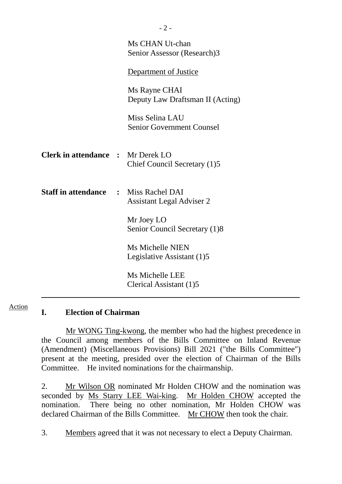|                                              | Ms CHAN Ut-chan<br>Senior Assessor (Research)3      |
|----------------------------------------------|-----------------------------------------------------|
|                                              | Department of Justice                               |
|                                              | Ms Rayne CHAI<br>Deputy Law Draftsman II (Acting)   |
|                                              | Miss Selina LAU<br><b>Senior Government Counsel</b> |
| <b>Clerk in attendance : Mr Derek LO</b>     | Chief Council Secretary (1)5                        |
| <b>Staff in attendance : Miss Rachel DAI</b> | <b>Assistant Legal Adviser 2</b>                    |
|                                              | Mr Joey LO<br>Senior Council Secretary (1)8         |
|                                              | Ms Michelle NIEN<br>Legislative Assistant (1)5      |
|                                              | Ms Michelle LEE<br>Clerical Assistant (1)5          |

### **I. Election of Chairman**

Action

Mr WONG Ting-kwong, the member who had the highest precedence in the Council among members of the Bills Committee on Inland Revenue (Amendment) (Miscellaneous Provisions) Bill 2021 ("the Bills Committee") present at the meeting, presided over the election of Chairman of the Bills Committee. He invited nominations for the chairmanship.

2. Mr Wilson OR nominated Mr Holden CHOW and the nomination was seconded by Ms Starry LEE Wai-king. Mr Holden CHOW accepted the nomination. There being no other nomination, Mr Holden CHOW was declared Chairman of the Bills Committee. Mr CHOW then took the chair.

3. Members agreed that it was not necessary to elect a Deputy Chairman.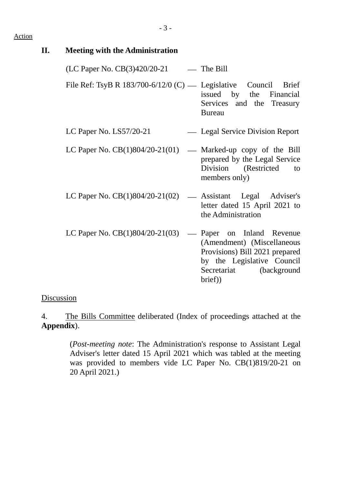#### Action

| П. | <b>Meeting with the Administration</b>                              |                                                                                                                                                    |
|----|---------------------------------------------------------------------|----------------------------------------------------------------------------------------------------------------------------------------------------|
|    | $(LC$ Paper No. $CB(3)420/20-21$ — The Bill                         |                                                                                                                                                    |
|    | File Ref: TsyB R $183/700 - 6/12/0$ (C) — Legislative Council Brief | issued by the Financial<br>Services and the Treasury<br><b>Bureau</b>                                                                              |
|    | LC Paper No. $LS57/20-21$                                           | — Legal Service Division Report                                                                                                                    |
|    | LC Paper No. $CB(1)804/20-21(01)$ — Marked-up copy of the Bill      | prepared by the Legal Service<br>Division (Restricted<br>to<br>members only)                                                                       |
|    | LC Paper No. $CB(1)804/20-21(02)$ — Assistant Legal Adviser's       | letter dated 15 April 2021 to<br>the Administration                                                                                                |
|    | LC Paper No. $CB(1)804/20-21(03)$                                   | - Paper on Inland Revenue<br>(Amendment) (Miscellaneous<br>Provisions) Bill 2021 prepared<br>by the Legislative Council<br>Secretariat (background |

### **Discussion**

4. The Bills Committee deliberated (Index of proceedings attached at the **Appendix**).

> (*Post-meeting note*: The Administration's response to Assistant Legal Adviser's letter dated 15 April 2021 which was tabled at the meeting was provided to members vide LC Paper No. CB(1)819/20-21 on 20 April 2021.)

brief))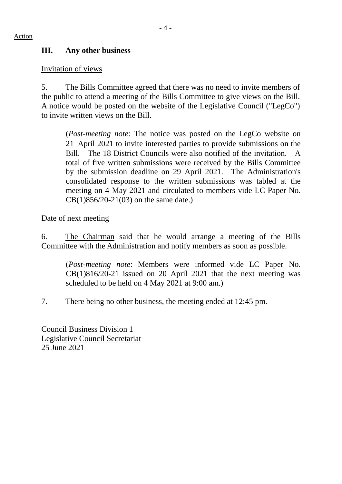# **III. Any other business**

### Invitation of views

5. The Bills Committee agreed that there was no need to invite members of the public to attend a meeting of the Bills Committee to give views on the Bill. A notice would be posted on the website of the Legislative Council ("LegCo") to invite written views on the Bill.

(*Post-meeting note*: The notice was posted on the LegCo website on 21 April 2021 to invite interested parties to provide submissions on the Bill. The 18 District Councils were also notified of the invitation. A total of five written submissions were received by the Bills Committee by the submission deadline on 29 April 2021. The Administration's consolidated response to the written submissions was tabled at the meeting on 4 May 2021 and circulated to members vide LC Paper No. CB(1)856/20-21(03) on the same date.)

Date of next meeting

6. The Chairman said that he would arrange a meeting of the Bills Committee with the Administration and notify members as soon as possible.

(*Post-meeting note*: Members were informed vide LC Paper No. CB(1)816/20-21 issued on 20 April 2021 that the next meeting was scheduled to be held on 4 May 2021 at 9:00 am.)

7. There being no other business, the meeting ended at 12:45 pm.

Council Business Division 1 Legislative Council Secretariat 25 June 2021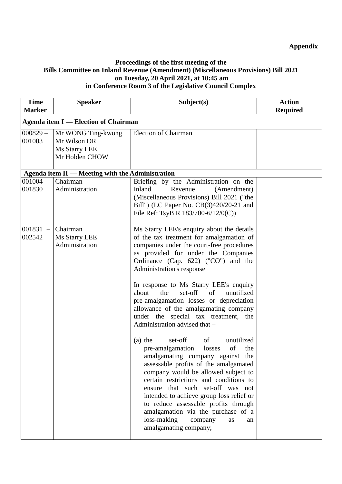#### **Proceedings of the first meeting of the Bills Committee on Inland Revenue (Amendment) (Miscellaneous Provisions) Bill 2021 on Tuesday, 20 April 2021, at 10:45 am in Conference Room 3 of the Legislative Council Complex**

| <b>Time</b><br><b>Marker</b>                 | <b>Speaker</b>                                                        | Subject(s)                                                                                                                                                                                                                                                                                                                                                                                                                                                                                                                                                                                                                                                                                                                                                                                                                                                                                                                                                                            | <b>Action</b><br><b>Required</b> |  |  |
|----------------------------------------------|-----------------------------------------------------------------------|---------------------------------------------------------------------------------------------------------------------------------------------------------------------------------------------------------------------------------------------------------------------------------------------------------------------------------------------------------------------------------------------------------------------------------------------------------------------------------------------------------------------------------------------------------------------------------------------------------------------------------------------------------------------------------------------------------------------------------------------------------------------------------------------------------------------------------------------------------------------------------------------------------------------------------------------------------------------------------------|----------------------------------|--|--|
|                                              | <b>Agenda item I — Election of Chairman</b>                           |                                                                                                                                                                                                                                                                                                                                                                                                                                                                                                                                                                                                                                                                                                                                                                                                                                                                                                                                                                                       |                                  |  |  |
| $000829 -$<br>001003                         | Mr WONG Ting-kwong<br>Mr Wilson OR<br>Ms Starry LEE<br>Mr Holden CHOW | <b>Election of Chairman</b>                                                                                                                                                                                                                                                                                                                                                                                                                                                                                                                                                                                                                                                                                                                                                                                                                                                                                                                                                           |                                  |  |  |
|                                              | Agenda item II — Meeting with the Administration                      |                                                                                                                                                                                                                                                                                                                                                                                                                                                                                                                                                                                                                                                                                                                                                                                                                                                                                                                                                                                       |                                  |  |  |
| $001004 -$<br>001830                         | Chairman<br>Administration                                            | Briefing by the Administration on the<br>Inland<br>Revenue<br>(Amendment)<br>(Miscellaneous Provisions) Bill 2021 ("the<br>Bill") (LC Paper No. CB(3)420/20-21 and<br>File Ref: TsyB R $183/700-6/12/0(C)$ )                                                                                                                                                                                                                                                                                                                                                                                                                                                                                                                                                                                                                                                                                                                                                                          |                                  |  |  |
| 001831<br>$\overline{\phantom{m}}$<br>002542 | Chairman<br>Ms Starry LEE<br>Administration                           | Ms Starry LEE's enquiry about the details<br>of the tax treatment for amalgamation of<br>companies under the court-free procedures<br>as provided for under the Companies<br>Ordinance (Cap. 622) ("CO") and the<br>Administration's response<br>In response to Ms Starry LEE's enquiry<br>set-off<br>unutilized<br>about<br>the<br>of<br>pre-amalgamation losses or depreciation<br>allowance of the amalgamating company<br>under the special tax treatment, the<br>Administration advised that -<br>of<br>unutilized<br>$(a)$ the<br>set-off<br>pre-amalgamation<br>losses<br>of<br>the<br>amalgamating company against the<br>assessable profits of the amalgamated<br>company would be allowed subject to<br>certain restrictions and conditions to<br>ensure that such set-off was not<br>intended to achieve group loss relief or<br>to reduce assessable profits through<br>amalgamation via the purchase of a<br>loss-making<br>company<br>as<br>an<br>amalgamating company; |                                  |  |  |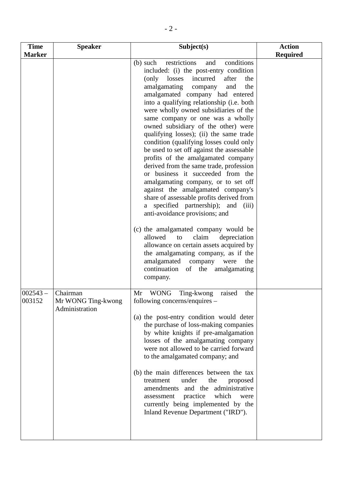| <b>Time</b>          | <b>Speaker</b>                                   | Subject(s)                                                                                                                                                                                                                                                                                                                                                                                                                                                                                                                                                                                                                                                                                                                                                                                                                                                                                                                                                                                                                                                                                                       | <b>Action</b>   |
|----------------------|--------------------------------------------------|------------------------------------------------------------------------------------------------------------------------------------------------------------------------------------------------------------------------------------------------------------------------------------------------------------------------------------------------------------------------------------------------------------------------------------------------------------------------------------------------------------------------------------------------------------------------------------------------------------------------------------------------------------------------------------------------------------------------------------------------------------------------------------------------------------------------------------------------------------------------------------------------------------------------------------------------------------------------------------------------------------------------------------------------------------------------------------------------------------------|-----------------|
| <b>Marker</b>        |                                                  |                                                                                                                                                                                                                                                                                                                                                                                                                                                                                                                                                                                                                                                                                                                                                                                                                                                                                                                                                                                                                                                                                                                  | <b>Required</b> |
|                      |                                                  | conditions<br>restrictions<br>$(b)$ such<br>and<br>included: (i) the post-entry condition<br>(only losses)<br>incurred<br>after<br>the<br>amalgamating<br>and<br>the<br>company<br>amalgamated company had entered<br>into a qualifying relationship (i.e. both<br>were wholly owned subsidiaries of the<br>same company or one was a wholly<br>owned subsidiary of the other) were<br>qualifying losses); (ii) the same trade<br>condition (qualifying losses could only<br>be used to set off against the assessable<br>profits of the amalgamated company<br>derived from the same trade, profession<br>or business it succeeded from the<br>amalgamating company, or to set off<br>against the amalgamated company's<br>share of assessable profits derived from<br>a specified partnership); and<br>(iii)<br>anti-avoidance provisions; and<br>(c) the amalgamated company would be<br>claim<br>allowed<br>depreciation<br>to<br>allowance on certain assets acquired by<br>the amalgamating company, as if the<br>amalgamated company<br>were<br>the<br>continuation<br>amalgamating<br>of the<br>company. |                 |
| $002543 -$<br>003152 | Chairman<br>Mr WONG Ting-kwong<br>Administration | <b>WONG</b><br>Ting-kwong<br>raised<br>Mr<br>the<br>following concerns/enquires –<br>(a) the post-entry condition would deter<br>the purchase of loss-making companies<br>by white knights if pre-amalgamation<br>losses of the amalgamating company<br>were not allowed to be carried forward<br>to the amalgamated company; and<br>(b) the main differences between the tax<br>treatment<br>under<br>the<br>proposed<br>amendments and the administrative<br>which<br>practice<br>assessment<br>were<br>currently being implemented by the<br>Inland Revenue Department ("IRD").                                                                                                                                                                                                                                                                                                                                                                                                                                                                                                                               |                 |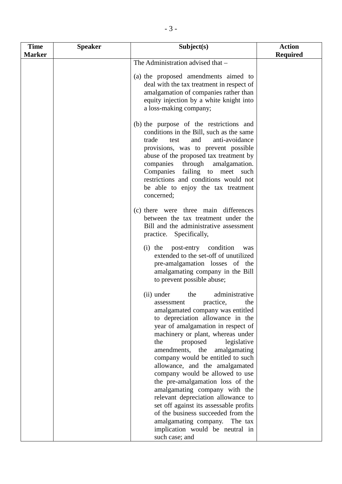| <b>Time</b>   | <b>Speaker</b> | Subject(s)                                                                                                                                                                                                                                                                                                                                                                                                                                                                                                                                                                                                                                                                | <b>Action</b>   |
|---------------|----------------|---------------------------------------------------------------------------------------------------------------------------------------------------------------------------------------------------------------------------------------------------------------------------------------------------------------------------------------------------------------------------------------------------------------------------------------------------------------------------------------------------------------------------------------------------------------------------------------------------------------------------------------------------------------------------|-----------------|
| <b>Marker</b> |                | The Administration advised that -                                                                                                                                                                                                                                                                                                                                                                                                                                                                                                                                                                                                                                         | <b>Required</b> |
|               |                | (a) the proposed amendments aimed to<br>deal with the tax treatment in respect of<br>amalgamation of companies rather than<br>equity injection by a white knight into<br>a loss-making company;                                                                                                                                                                                                                                                                                                                                                                                                                                                                           |                 |
|               |                | (b) the purpose of the restrictions and<br>conditions in the Bill, such as the same<br>trade<br>anti-avoidance<br>test<br>and<br>provisions, was to prevent possible<br>abuse of the proposed tax treatment by<br>companies<br>through<br>amalgamation.<br>Companies failing to meet such<br>restrictions and conditions would not<br>be able to enjoy the tax treatment<br>concerned;                                                                                                                                                                                                                                                                                    |                 |
|               |                | (c) there were three main differences<br>between the tax treatment under the<br>Bill and the administrative assessment<br>practice. Specifically,                                                                                                                                                                                                                                                                                                                                                                                                                                                                                                                         |                 |
|               |                | (i) the post-entry condition<br>was<br>extended to the set-off of unutilized<br>pre-amalgamation losses of the<br>amalgamating company in the Bill<br>to prevent possible abuse;                                                                                                                                                                                                                                                                                                                                                                                                                                                                                          |                 |
|               |                | administrative<br>(ii) under<br>the<br>practice,<br>the<br>assessment<br>amalgamated company was entitled<br>to depreciation allowance in the<br>year of amalgamation in respect of<br>machinery or plant, whereas under<br>proposed<br>legislative<br>the<br>amendments,<br>the<br>amalgamating<br>company would be entitled to such<br>allowance, and the amalgamated<br>company would be allowed to use<br>the pre-amalgamation loss of the<br>amalgamating company with the<br>relevant depreciation allowance to<br>set off against its assessable profits<br>of the business succeeded from the<br>amalgamating company. The tax<br>implication would be neutral in |                 |
|               |                | such case; and                                                                                                                                                                                                                                                                                                                                                                                                                                                                                                                                                                                                                                                            |                 |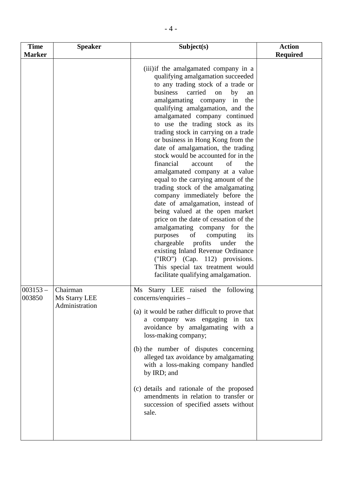| <b>Time</b><br><b>Marker</b> | <b>Speaker</b>                              | Subject(s)                                                                                                                                                                                                                                                                                                                                                                                                                                                                                                                                                                                                                                                                                                                                                                                                                                                                                                                                                                                                                         | <b>Action</b><br><b>Required</b> |
|------------------------------|---------------------------------------------|------------------------------------------------------------------------------------------------------------------------------------------------------------------------------------------------------------------------------------------------------------------------------------------------------------------------------------------------------------------------------------------------------------------------------------------------------------------------------------------------------------------------------------------------------------------------------------------------------------------------------------------------------------------------------------------------------------------------------------------------------------------------------------------------------------------------------------------------------------------------------------------------------------------------------------------------------------------------------------------------------------------------------------|----------------------------------|
|                              |                                             | (iii) if the amalgamated company in a<br>qualifying amalgamation succeeded<br>to any trading stock of a trade or<br>business<br>carried<br>by<br>on<br>an<br>amalgamating company<br>the<br>in<br>qualifying amalgamation, and the<br>amalgamated company continued<br>to use the trading stock as its<br>trading stock in carrying on a trade<br>or business in Hong Kong from the<br>date of amalgamation, the trading<br>stock would be accounted for in the<br>financial<br>of<br>account<br>the<br>amalgamated company at a value<br>equal to the carrying amount of the<br>trading stock of the amalgamating<br>company immediately before the<br>date of amalgamation, instead of<br>being valued at the open market<br>price on the date of cessation of the<br>amalgamating company for the<br>purposes<br>of<br>computing<br>its<br>chargeable profits<br>under<br>the<br>existing Inland Revenue Ordinance<br>("IRO") (Cap. 112) provisions.<br>This special tax treatment would<br>facilitate qualifying amalgamation. |                                  |
| $003153 -$<br>003850         | Chairman<br>Ms Starry LEE<br>Administration | Starry LEE raised the following<br>Ms<br>concerns/enquiries -<br>(a) it would be rather difficult to prove that<br>a company was engaging in tax<br>avoidance by amalgamating with a<br>loss-making company;<br>(b) the number of disputes concerning<br>alleged tax avoidance by amalgamating<br>with a loss-making company handled<br>by IRD; and<br>(c) details and rationale of the proposed<br>amendments in relation to transfer or<br>succession of specified assets without<br>sale.                                                                                                                                                                                                                                                                                                                                                                                                                                                                                                                                       |                                  |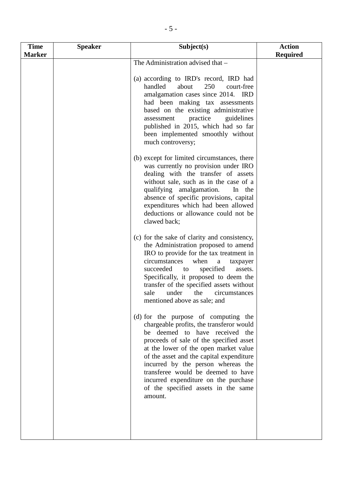| <b>Time</b>   | <b>Speaker</b> | Subject(s)                                                                                                                                                                                                                                                                                                                                                                                                               | <b>Action</b>   |
|---------------|----------------|--------------------------------------------------------------------------------------------------------------------------------------------------------------------------------------------------------------------------------------------------------------------------------------------------------------------------------------------------------------------------------------------------------------------------|-----------------|
| <b>Marker</b> |                |                                                                                                                                                                                                                                                                                                                                                                                                                          | <b>Required</b> |
|               |                | The Administration advised that -<br>(a) according to IRD's record, IRD had<br>handled<br>about<br>250<br>court-free<br>amalgamation cases since 2014. IRD<br>had been making tax assessments<br>based on the existing administrative<br>practice<br>guidelines<br>assessment<br>published in 2015, which had so far<br>been implemented smoothly without<br>much controversy;                                           |                 |
|               |                | (b) except for limited circumstances, there<br>was currently no provision under IRO<br>dealing with the transfer of assets<br>without sale, such as in the case of a<br>qualifying amalgamation.<br>In the<br>absence of specific provisions, capital<br>expenditures which had been allowed<br>deductions or allowance could not be<br>clawed back;                                                                     |                 |
|               |                | (c) for the sake of clarity and consistency,<br>the Administration proposed to amend<br>IRO to provide for the tax treatment in<br>when<br>circumstances<br>a<br>taxpayer<br>succeeded<br>specified<br>assets.<br>to<br>Specifically, it proposed to deem the<br>transfer of the specified assets without<br>sale<br>under<br>the<br>circumstances<br>mentioned above as sale; and                                       |                 |
|               |                | (d) for the purpose of computing the<br>chargeable profits, the transferor would<br>be deemed to have received the<br>proceeds of sale of the specified asset<br>at the lower of the open market value<br>of the asset and the capital expenditure<br>incurred by the person whereas the<br>transferee would be deemed to have<br>incurred expenditure on the purchase<br>of the specified assets in the same<br>amount. |                 |
|               |                |                                                                                                                                                                                                                                                                                                                                                                                                                          |                 |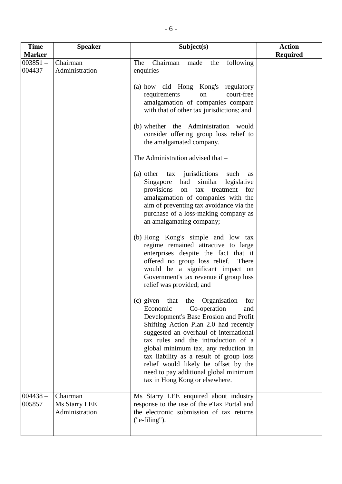| <b>Time</b>                           | <b>Speaker</b>                              | Subject(s)                                                                                                                                                                                                                                                                                                                                                                                                                                                                                                                                                                                                                                                                                                                                                                                                                                                                                                                                                                                                                                                                                                                                                                                                                                                                                | <b>Action</b>   |
|---------------------------------------|---------------------------------------------|-------------------------------------------------------------------------------------------------------------------------------------------------------------------------------------------------------------------------------------------------------------------------------------------------------------------------------------------------------------------------------------------------------------------------------------------------------------------------------------------------------------------------------------------------------------------------------------------------------------------------------------------------------------------------------------------------------------------------------------------------------------------------------------------------------------------------------------------------------------------------------------------------------------------------------------------------------------------------------------------------------------------------------------------------------------------------------------------------------------------------------------------------------------------------------------------------------------------------------------------------------------------------------------------|-----------------|
|                                       |                                             |                                                                                                                                                                                                                                                                                                                                                                                                                                                                                                                                                                                                                                                                                                                                                                                                                                                                                                                                                                                                                                                                                                                                                                                                                                                                                           |                 |
| <b>Marker</b><br>$003851 -$<br>004437 | Chairman<br>Administration                  | Chairman<br>following<br>The<br>the<br>made<br>enquiries -<br>(a) how did Hong Kong's regulatory<br>requirements<br>court-free<br>on<br>amalgamation of companies compare<br>with that of other tax jurisdictions; and<br>(b) whether the Administration would<br>consider offering group loss relief to<br>the amalgamated company.<br>The Administration advised that -<br>(a) other tax jurisdictions such<br>as<br>had similar<br>Singapore<br>legislative<br>provisions<br>tax<br>treatment<br>for<br>on<br>amalgamation of companies with the<br>aim of preventing tax avoidance via the<br>purchase of a loss-making company as<br>an amalgamating company;<br>(b) Hong Kong's simple and low tax<br>regime remained attractive to large<br>enterprises despite the fact that it<br>offered no group loss relief.<br>There<br>would be a significant impact on<br>Government's tax revenue if group loss<br>relief was provided; and<br>Organisation<br>$(c)$ given<br>the<br>that<br>for<br>Economic<br>Co-operation<br>and<br>Development's Base Erosion and Profit<br>Shifting Action Plan 2.0 had recently<br>suggested an overhaul of international<br>tax rules and the introduction of a<br>global minimum tax, any reduction in<br>tax liability as a result of group loss | <b>Required</b> |
| $004438 -$<br>005857                  | Chairman<br>Ms Starry LEE<br>Administration | relief would likely be offset by the<br>need to pay additional global minimum<br>tax in Hong Kong or elsewhere.<br>Ms Starry LEE enquired about industry<br>response to the use of the eTax Portal and<br>the electronic submission of tax returns<br>$("e-filing").$                                                                                                                                                                                                                                                                                                                                                                                                                                                                                                                                                                                                                                                                                                                                                                                                                                                                                                                                                                                                                     |                 |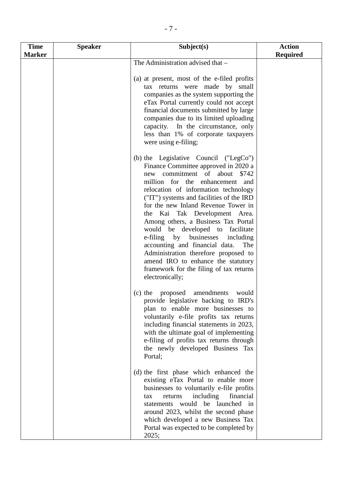| <b>Time</b>   | <b>Speaker</b> | Subject(s)                                                                                                                                                                                                                                                                                                                                                                                                                                                                                                                                                                                                           | <b>Action</b>   |
|---------------|----------------|----------------------------------------------------------------------------------------------------------------------------------------------------------------------------------------------------------------------------------------------------------------------------------------------------------------------------------------------------------------------------------------------------------------------------------------------------------------------------------------------------------------------------------------------------------------------------------------------------------------------|-----------------|
| <b>Marker</b> |                |                                                                                                                                                                                                                                                                                                                                                                                                                                                                                                                                                                                                                      | <b>Required</b> |
|               |                | The Administration advised that -<br>(a) at present, most of the e-filed profits<br>tax returns were made by small<br>companies as the system supporting the<br>eTax Portal currently could not accept<br>financial documents submitted by large<br>companies due to its limited uploading<br>capacity. In the circumstance, only<br>less than 1% of corporate taxpayers<br>were using e-filing;                                                                                                                                                                                                                     |                 |
|               |                | (b) the Legislative Council ("LegCo")<br>Finance Committee approved in 2020 a<br>new commitment of about<br>\$742<br>million for the enhancement and<br>relocation of information technology<br>("IT") systems and facilities of the IRD<br>for the new Inland Revenue Tower in<br>the Kai Tak Development Area.<br>Among others, a Business Tax Portal<br>would be developed to facilitate<br>e-filing by businesses including<br>accounting and financial data.<br>The<br>Administration therefore proposed to<br>amend IRO to enhance the statutory<br>framework for the filing of tax returns<br>electronically; |                 |
|               |                | (c) the proposed amendments<br>would<br>provide legislative backing to IRD's<br>plan to enable more businesses to<br>voluntarily e-file profits tax returns<br>including financial statements in 2023,<br>with the ultimate goal of implementing<br>e-filing of profits tax returns through<br>the newly developed Business Tax<br>Portal;                                                                                                                                                                                                                                                                           |                 |
|               |                | (d) the first phase which enhanced the<br>existing eTax Portal to enable more<br>businesses to voluntarily e-file profits<br>including<br>financial<br>returns<br>tax<br>statements would be launched in<br>around 2023, whilst the second phase<br>which developed a new Business Tax<br>Portal was expected to be completed by<br>2025;                                                                                                                                                                                                                                                                            |                 |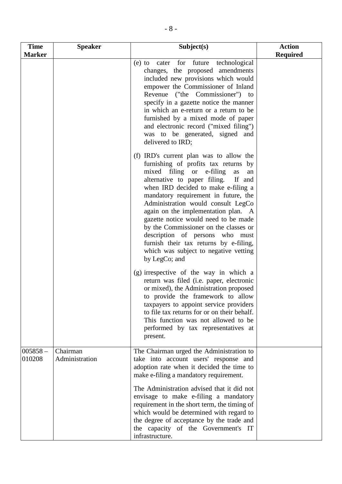| <b>Time</b>          | <b>Speaker</b>             | Subject(s)                                                                                                                                                                                                                                                                                                                                                                                                                                                                                                                                            | <b>Action</b>   |
|----------------------|----------------------------|-------------------------------------------------------------------------------------------------------------------------------------------------------------------------------------------------------------------------------------------------------------------------------------------------------------------------------------------------------------------------------------------------------------------------------------------------------------------------------------------------------------------------------------------------------|-----------------|
| <b>Marker</b>        |                            |                                                                                                                                                                                                                                                                                                                                                                                                                                                                                                                                                       | <b>Required</b> |
|                      |                            | for<br>future<br>technological<br>$(e)$ to<br>cater<br>changes, the proposed amendments<br>included new provisions which would<br>empower the Commissioner of Inland<br>Revenue ("the Commissioner") to<br>specify in a gazette notice the manner<br>in which an e-return or a return to be<br>furnished by a mixed mode of paper<br>and electronic record ("mixed filing")<br>was to be generated, signed and<br>delivered to IRD;                                                                                                                   |                 |
|                      |                            | (f) IRD's current plan was to allow the<br>furnishing of profits tax returns by<br>mixed filing or e-filing<br>as<br>an<br>alternative to paper filing.<br>If and<br>when IRD decided to make e-filing a<br>mandatory requirement in future, the<br>Administration would consult LegCo<br>again on the implementation plan. A<br>gazette notice would need to be made<br>by the Commissioner on the classes or<br>description of persons who must<br>furnish their tax returns by e-filing,<br>which was subject to negative vetting<br>by LegCo; and |                 |
|                      |                            | (g) irrespective of the way in which a<br>return was filed (i.e. paper, electronic<br>or mixed), the Administration proposed<br>to provide the framework to allow<br>taxpayers to appoint service providers<br>to file tax returns for or on their behalf.<br>This function was not allowed to be<br>performed by tax representatives at<br>present.                                                                                                                                                                                                  |                 |
| $005858 -$<br>010208 | Chairman<br>Administration | The Chairman urged the Administration to<br>take into account users' response and<br>adoption rate when it decided the time to<br>make e-filing a mandatory requirement.                                                                                                                                                                                                                                                                                                                                                                              |                 |
|                      |                            | The Administration advised that it did not<br>envisage to make e-filing a mandatory<br>requirement in the short term, the timing of<br>which would be determined with regard to<br>the degree of acceptance by the trade and<br>the capacity of the Government's IT<br>infrastructure.                                                                                                                                                                                                                                                                |                 |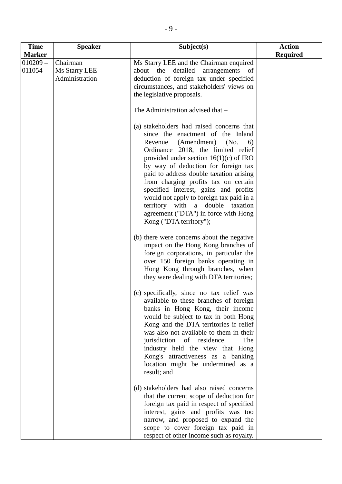| <b>Time</b>          | <b>Speaker</b>                              | Subject(s)                                                                                                                                                                                                                                                                                                                                                                                                                                                                                                                     | <b>Action</b>   |
|----------------------|---------------------------------------------|--------------------------------------------------------------------------------------------------------------------------------------------------------------------------------------------------------------------------------------------------------------------------------------------------------------------------------------------------------------------------------------------------------------------------------------------------------------------------------------------------------------------------------|-----------------|
| <b>Marker</b>        |                                             |                                                                                                                                                                                                                                                                                                                                                                                                                                                                                                                                | <b>Required</b> |
| $010209 -$<br>011054 | Chairman<br>Ms Starry LEE<br>Administration | Ms Starry LEE and the Chairman enquired<br>detailed<br>arrangements of<br>about<br>the<br>deduction of foreign tax under specified<br>circumstances, and stakeholders' views on<br>the legislative proposals.                                                                                                                                                                                                                                                                                                                  |                 |
|                      |                                             | The Administration advised that -                                                                                                                                                                                                                                                                                                                                                                                                                                                                                              |                 |
|                      |                                             | (a) stakeholders had raised concerns that<br>since the enactment of the Inland<br>(Amendment)<br>Revenue<br>(No.<br>6)<br>Ordinance 2018, the limited relief<br>provided under section $16(1)(c)$ of IRO<br>by way of deduction for foreign tax<br>paid to address double taxation arising<br>from charging profits tax on certain<br>specified interest, gains and profits<br>would not apply to foreign tax paid in a<br>territory with a double taxation<br>agreement ("DTA") in force with Hong<br>Kong ("DTA territory"); |                 |
|                      |                                             | (b) there were concerns about the negative<br>impact on the Hong Kong branches of<br>foreign corporations, in particular the<br>over 150 foreign banks operating in<br>Hong Kong through branches, when<br>they were dealing with DTA territories;                                                                                                                                                                                                                                                                             |                 |
|                      |                                             | (c) specifically, since no tax relief was<br>available to these branches of foreign<br>banks in Hong Kong, their income<br>would be subject to tax in both Hong<br>Kong and the DTA territories if relief<br>was also not available to them in their<br>of residence.<br>jurisdiction<br>The<br>industry held the view that Hong<br>Kong's attractiveness as a banking<br>location might be undermined as a<br>result; and                                                                                                     |                 |
|                      |                                             | (d) stakeholders had also raised concerns<br>that the current scope of deduction for<br>foreign tax paid in respect of specified<br>interest, gains and profits was too<br>narrow, and proposed to expand the<br>scope to cover foreign tax paid in<br>respect of other income such as royalty.                                                                                                                                                                                                                                |                 |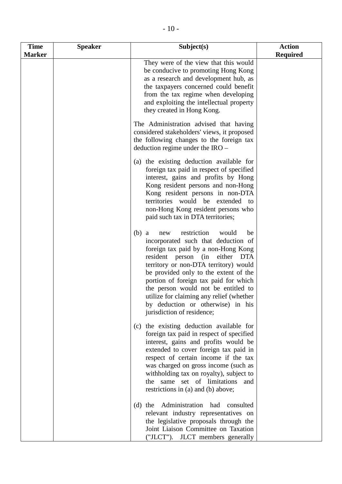| <b>Time</b>   | <b>Speaker</b> | Subject(s)                                                                                                                                                                                                                                                                                                                                                                                                                                                     | <b>Action</b>   |
|---------------|----------------|----------------------------------------------------------------------------------------------------------------------------------------------------------------------------------------------------------------------------------------------------------------------------------------------------------------------------------------------------------------------------------------------------------------------------------------------------------------|-----------------|
| <b>Marker</b> |                |                                                                                                                                                                                                                                                                                                                                                                                                                                                                | <b>Required</b> |
|               |                | They were of the view that this would<br>be conducive to promoting Hong Kong<br>as a research and development hub, as<br>the taxpayers concerned could benefit<br>from the tax regime when developing<br>and exploiting the intellectual property<br>they created in Hong Kong.                                                                                                                                                                                |                 |
|               |                | The Administration advised that having<br>considered stakeholders' views, it proposed<br>the following changes to the foreign tax<br>deduction regime under the IRO -                                                                                                                                                                                                                                                                                          |                 |
|               |                | (a) the existing deduction available for<br>foreign tax paid in respect of specified<br>interest, gains and profits by Hong<br>Kong resident persons and non-Hong<br>Kong resident persons in non-DTA<br>territories would be extended<br>to<br>non-Hong Kong resident persons who<br>paid such tax in DTA territories;                                                                                                                                        |                 |
|               |                | restriction<br>would<br>(b)<br>be<br>a<br>new<br>incorporated such that deduction of<br>foreign tax paid by a non-Hong Kong<br>resident person<br>either<br>(in<br><b>DTA</b><br>territory or non-DTA territory) would<br>be provided only to the extent of the<br>portion of foreign tax paid for which<br>the person would not be entitled to<br>utilize for claiming any relief (whether<br>by deduction or otherwise) in his<br>jurisdiction of residence; |                 |
|               |                | the existing deduction available for<br>(c)<br>foreign tax paid in respect of specified<br>interest, gains and profits would be<br>extended to cover foreign tax paid in<br>respect of certain income if the tax<br>was charged on gross income (such as<br>withholding tax on royalty), subject to<br>the same set of limitations<br>and<br>restrictions in (a) and (b) above;                                                                                |                 |
|               |                | Administration<br>had<br>consulted<br>$(d)$ the<br>relevant industry representatives on<br>the legislative proposals through the<br>Joint Liaison Committee on Taxation<br>("JLCT"). JLCT members generally                                                                                                                                                                                                                                                    |                 |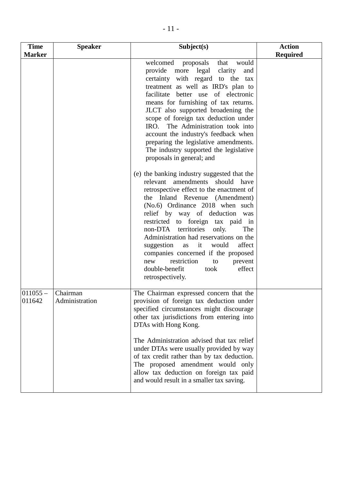| <b>Time</b>          | <b>Speaker</b>             | Subject(s)                                                                                                                                                                                                                                                                                                                                                                                                                                                                                                                           | <b>Action</b>   |
|----------------------|----------------------------|--------------------------------------------------------------------------------------------------------------------------------------------------------------------------------------------------------------------------------------------------------------------------------------------------------------------------------------------------------------------------------------------------------------------------------------------------------------------------------------------------------------------------------------|-----------------|
| <b>Marker</b>        |                            |                                                                                                                                                                                                                                                                                                                                                                                                                                                                                                                                      | <b>Required</b> |
|                      |                            | welcomed<br>would<br>proposals<br>that<br>provide more legal<br>clarity<br>and<br>certainty with regard to the tax<br>treatment as well as IRD's plan to<br>facilitate better use of electronic<br>means for furnishing of tax returns.<br>JLCT also supported broadening the<br>scope of foreign tax deduction under<br>IRO. The Administration took into<br>account the industry's feedback when<br>preparing the legislative amendments.<br>The industry supported the legislative<br>proposals in general; and                   |                 |
|                      |                            | (e) the banking industry suggested that the<br>relevant amendments should have<br>retrospective effect to the enactment of<br>the Inland Revenue (Amendment)<br>(No.6) Ordinance 2018 when such<br>relief by way of deduction was<br>restricted to foreign tax paid in<br>non-DTA territories<br>only.<br>The<br>Administration had reservations on the<br>affect<br>suggestion<br>as it would<br>companies concerned if the proposed<br>restriction<br>new<br>to<br>prevent<br>double-benefit<br>effect<br>took<br>retrospectively. |                 |
| $011055 -$<br>011642 | Chairman<br>Administration | The Chairman expressed concern that the<br>provision of foreign tax deduction under<br>specified circumstances might discourage<br>other tax jurisdictions from entering into<br>DTAs with Hong Kong.<br>The Administration advised that tax relief<br>under DTAs were usually provided by way<br>of tax credit rather than by tax deduction.<br>The proposed amendment would only<br>allow tax deduction on foreign tax paid<br>and would result in a smaller tax saving.                                                           |                 |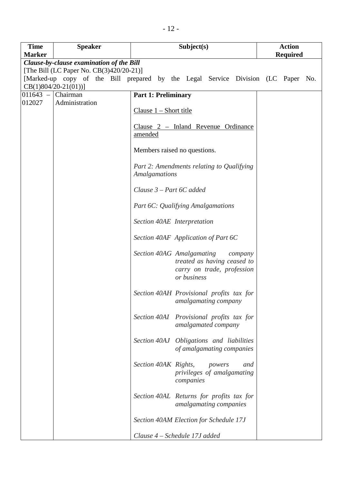| <b>Time</b><br><b>Marker</b> | <b>Speaker</b>                           | Subject(s)                                                                                                       | <b>Action</b><br><b>Required</b> |
|------------------------------|------------------------------------------|------------------------------------------------------------------------------------------------------------------|----------------------------------|
|                              | Clause-by-clause examination of the Bill |                                                                                                                  |                                  |
|                              | [The Bill (LC Paper No. CB(3)420/20-21)] |                                                                                                                  |                                  |
|                              |                                          | [Marked-up copy of the Bill prepared by the Legal Service Division (LC Paper No.                                 |                                  |
|                              | $CB(1)804/20-21(01))$ ]                  |                                                                                                                  |                                  |
| $011643 -$                   | Chairman                                 | <b>Part 1: Preliminary</b>                                                                                       |                                  |
| 012027                       | Administration                           |                                                                                                                  |                                  |
|                              |                                          | $Clause 1 - Short title$                                                                                         |                                  |
|                              |                                          | Clause 2 - Inland Revenue Ordinance<br>amended                                                                   |                                  |
|                              |                                          | Members raised no questions.                                                                                     |                                  |
|                              |                                          | Part 2: Amendments relating to Qualifying<br><b>Amalgamations</b>                                                |                                  |
|                              |                                          | Clause $3$ – Part 6C added                                                                                       |                                  |
|                              |                                          | Part 6C: Qualifying Amalgamations                                                                                |                                  |
|                              |                                          | Section 40AE Interpretation                                                                                      |                                  |
|                              |                                          | Section 40AF Application of Part 6C                                                                              |                                  |
|                              |                                          | Section 40AG Amalgamating<br>company<br>treated as having ceased to<br>carry on trade, profession<br>or business |                                  |
|                              |                                          | Section 40AH Provisional profits tax for<br>amalgamating company                                                 |                                  |
|                              |                                          | Section 40AI Provisional profits tax for<br>amalgamated company                                                  |                                  |
|                              |                                          | Section 40AJ Obligations and liabilities<br>of amalgamating companies                                            |                                  |
|                              |                                          | Section 40AK Rights,<br>powers<br>and<br>privileges of amalgamating<br>companies                                 |                                  |
|                              |                                          | Section 40AL Returns for profits tax for<br>amalgamating companies                                               |                                  |
|                              |                                          | Section 40AM Election for Schedule 17J                                                                           |                                  |
|                              |                                          | Clause 4 – Schedule 17J added                                                                                    |                                  |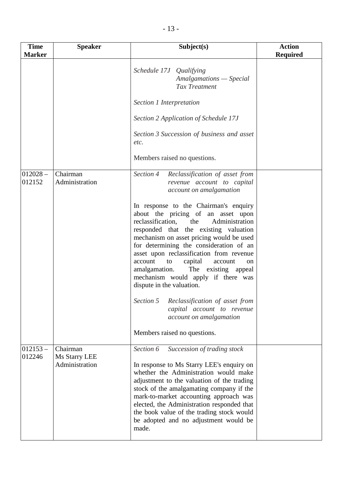| <b>Time</b><br><b>Marker</b> | <b>Speaker</b>                              | Subject(s)                                                                                                                                                                                                                                                                                                                                                                                                                                                                                                                                                            | <b>Action</b><br><b>Required</b> |
|------------------------------|---------------------------------------------|-----------------------------------------------------------------------------------------------------------------------------------------------------------------------------------------------------------------------------------------------------------------------------------------------------------------------------------------------------------------------------------------------------------------------------------------------------------------------------------------------------------------------------------------------------------------------|----------------------------------|
|                              |                                             | Schedule 17J Qualifying<br>Amalgamations - Special<br>Tax Treatment                                                                                                                                                                                                                                                                                                                                                                                                                                                                                                   |                                  |
|                              |                                             | Section 1 Interpretation                                                                                                                                                                                                                                                                                                                                                                                                                                                                                                                                              |                                  |
|                              |                                             | Section 2 Application of Schedule 17J                                                                                                                                                                                                                                                                                                                                                                                                                                                                                                                                 |                                  |
|                              |                                             | Section 3 Succession of business and asset<br>etc.                                                                                                                                                                                                                                                                                                                                                                                                                                                                                                                    |                                  |
|                              |                                             | Members raised no questions.                                                                                                                                                                                                                                                                                                                                                                                                                                                                                                                                          |                                  |
| $012028 -$<br>012152         | Chairman<br>Administration                  | Section 4<br>Reclassification of asset from<br>revenue account to capital<br>account on amalgamation                                                                                                                                                                                                                                                                                                                                                                                                                                                                  |                                  |
|                              |                                             | In response to the Chairman's enquiry<br>about the pricing of an asset upon<br>reclassification,<br>the<br>Administration<br>responded that the existing valuation<br>mechanism on asset pricing would be used<br>for determining the consideration of an<br>asset upon reclassification from revenue<br>account<br>capital<br>account<br>to<br>on<br>amalgamation.<br>The existing appeal<br>mechanism would apply if there was<br>dispute in the valuation.<br>Section 5<br>Reclassification of asset from<br>capital account to revenue<br>account on amalgamation |                                  |
|                              |                                             | Members raised no questions.                                                                                                                                                                                                                                                                                                                                                                                                                                                                                                                                          |                                  |
| $012153 -$<br>012246         | Chairman<br>Ms Starry LEE<br>Administration | Section 6<br>Succession of trading stock<br>In response to Ms Starry LEE's enquiry on<br>whether the Administration would make<br>adjustment to the valuation of the trading<br>stock of the amalgamating company if the<br>mark-to-market accounting approach was<br>elected, the Administration responded that<br>the book value of the trading stock would<br>be adopted and no adjustment would be<br>made.                                                                                                                                                       |                                  |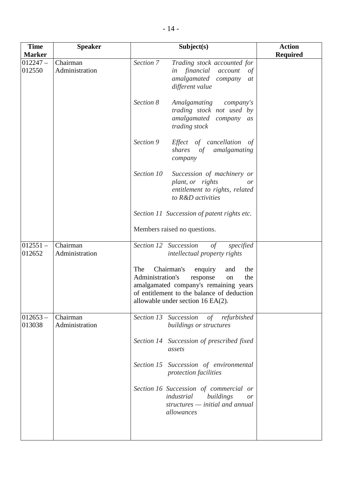| <b>Time</b>          | <b>Speaker</b>             | Subject(s)                                                                                                                                                                                                            | <b>Action</b>   |
|----------------------|----------------------------|-----------------------------------------------------------------------------------------------------------------------------------------------------------------------------------------------------------------------|-----------------|
| <b>Marker</b>        |                            |                                                                                                                                                                                                                       | <b>Required</b> |
| $012247-$<br>012550  | Chairman<br>Administration | Section 7<br>Trading stock accounted for<br>financial<br>account<br>in<br>of<br>amalgamated<br>company<br>at<br>different value                                                                                       |                 |
|                      |                            | Section 8<br><b>Amalgamating</b><br>company's<br>trading stock not used by<br>amalgamated company<br>as<br>trading stock                                                                                              |                 |
|                      |                            | Section 9<br>Effect of cancellation of<br>amalgamating<br>shares of<br>company                                                                                                                                        |                 |
|                      |                            | Section 10<br>Succession of machinery or<br>plant, or rights<br><i>or</i><br>entitlement to rights, related<br>to R&D activities                                                                                      |                 |
|                      |                            | Section 11 Succession of patent rights etc.                                                                                                                                                                           |                 |
|                      |                            | Members raised no questions.                                                                                                                                                                                          |                 |
| $012551 -$<br>012652 | Chairman<br>Administration | Section 12<br>Succession<br>$\circ f$<br>specified<br><i>intellectual property rights</i>                                                                                                                             |                 |
|                      |                            | The<br>Chairman's<br>enquiry<br>and<br>the<br>Administration's<br>response<br>the<br>on<br>amalgamated company's remaining years<br>of entitlement to the balance of deduction<br>allowable under section $16$ EA(2). |                 |
| $012653 -$<br>013038 | Chairman<br>Administration | Section 13 Succession<br>of refurbished<br>buildings or structures                                                                                                                                                    |                 |
|                      |                            | Section 14 Succession of prescribed fixed<br>assets                                                                                                                                                                   |                 |
|                      |                            | Section 15 Succession of environmental<br>protection facilities                                                                                                                                                       |                 |
|                      |                            | Section 16 Succession of commercial or<br>industrial<br>buildings<br><i>or</i><br>structures - initial and annual<br>allowances                                                                                       |                 |
|                      |                            |                                                                                                                                                                                                                       |                 |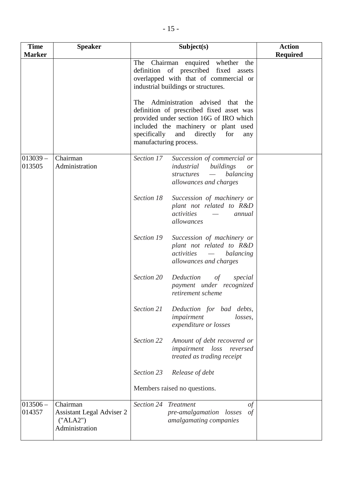| <b>Time</b><br><b>Marker</b> | <b>Speaker</b>                                                      | Subject(s)                                                                                                                                                                                                                                          | <b>Action</b><br><b>Required</b> |
|------------------------------|---------------------------------------------------------------------|-----------------------------------------------------------------------------------------------------------------------------------------------------------------------------------------------------------------------------------------------------|----------------------------------|
|                              |                                                                     | The Chairman enquired whether the<br>definition of prescribed fixed assets<br>overlapped with that of commercial or<br>industrial buildings or structures.                                                                                          |                                  |
|                              |                                                                     | Administration advised that<br>The<br>the<br>definition of prescribed fixed asset was<br>provided under section 16G of IRO which<br>included the machinery or plant used<br>specifically<br>and<br>directly<br>for<br>any<br>manufacturing process. |                                  |
| $013039 -$<br>013505         | Chairman<br>Administration                                          | Section 17<br>Succession of commercial or<br>industrial<br>buildings<br>or<br>balancing<br>structures<br>$\overline{\phantom{m}}$<br>allowances and charges                                                                                         |                                  |
|                              |                                                                     | Section 18<br>Succession of machinery or<br>plant not related to R&D<br>activities<br>annual<br>allowances                                                                                                                                          |                                  |
|                              |                                                                     | Section 19<br>Succession of machinery or<br>plant not related to R&D<br>balancing<br>activities<br>allowances and charges                                                                                                                           |                                  |
|                              |                                                                     | Section 20<br>Deduction<br>of<br>special<br>payment under recognized<br>retirement scheme                                                                                                                                                           |                                  |
|                              |                                                                     | Section 21<br>Deduction for bad debts,<br>impairment<br>losses,<br>expenditure or losses                                                                                                                                                            |                                  |
|                              |                                                                     | Section 22<br>Amount of debt recovered or<br>impairment<br>$\log s$<br>reversed<br>treated as trading receipt                                                                                                                                       |                                  |
|                              |                                                                     | Section 23<br>Release of debt                                                                                                                                                                                                                       |                                  |
|                              |                                                                     | Members raised no questions.                                                                                                                                                                                                                        |                                  |
| $013506 -$<br>014357         | Chairman<br>Assistant Legal Adviser 2<br>("ALA2")<br>Administration | Section 24 Treatment<br>of<br>$\sigma f$<br>pre-amalgamation losses<br>amalgamating companies                                                                                                                                                       |                                  |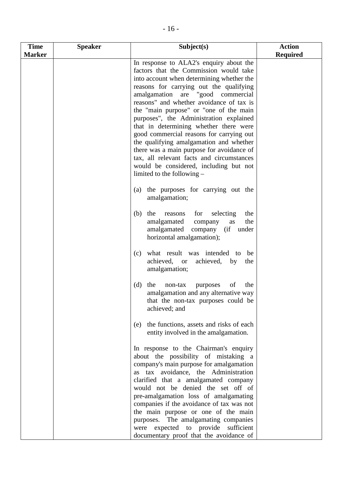| <b>Required</b><br><b>Marker</b><br>In response to ALA2's enquiry about the<br>factors that the Commission would take<br>into account when determining whether the<br>reasons for carrying out the qualifying<br>amalgamation are "good commercial<br>reasons" and whether avoidance of tax is<br>the "main purpose" or "one of the main<br>purposes", the Administration explained<br>that in determining whether there were<br>good commercial reasons for carrying out<br>the qualifying amalgamation and whether<br>there was a main purpose for avoidance of<br>tax, all relevant facts and circumstances<br>would be considered, including but not<br>limited to the following $-$<br>(a) the purposes for carrying out the<br>amalgamation;<br>$(b)$ the<br>for<br>selecting<br>reasons<br>the<br>amalgamated<br>the<br>as<br>company<br>amalgamated<br>company (if under<br>horizontal amalgamation);<br>what result was intended to be<br>(c)<br>achieved, or<br>achieved, by<br>the<br>amalgamation;<br>the<br>of<br>the<br>(d)<br>non-tax<br>purposes<br>amalgamation and any alternative way<br>that the non-tax purposes could be<br>achieved; and<br>the functions, assets and risks of each<br>(e)<br>entity involved in the amalgamation.<br>In response to the Chairman's enquiry<br>about the possibility of mistaking a<br>company's main purpose for amalgamation<br>as tax avoidance, the Administration<br>clarified that a amalgamated company<br>would not be denied the set off of<br>pre-amalgamation loss of amalgamating<br>companies if the avoidance of tax was not<br>the main purpose or one of the main | <b>Time</b> | <b>Speaker</b> | Subject(s)                           | <b>Action</b> |
|------------------------------------------------------------------------------------------------------------------------------------------------------------------------------------------------------------------------------------------------------------------------------------------------------------------------------------------------------------------------------------------------------------------------------------------------------------------------------------------------------------------------------------------------------------------------------------------------------------------------------------------------------------------------------------------------------------------------------------------------------------------------------------------------------------------------------------------------------------------------------------------------------------------------------------------------------------------------------------------------------------------------------------------------------------------------------------------------------------------------------------------------------------------------------------------------------------------------------------------------------------------------------------------------------------------------------------------------------------------------------------------------------------------------------------------------------------------------------------------------------------------------------------------------------------------------------------------------------------------------------------------|-------------|----------------|--------------------------------------|---------------|
|                                                                                                                                                                                                                                                                                                                                                                                                                                                                                                                                                                                                                                                                                                                                                                                                                                                                                                                                                                                                                                                                                                                                                                                                                                                                                                                                                                                                                                                                                                                                                                                                                                          |             |                |                                      |               |
|                                                                                                                                                                                                                                                                                                                                                                                                                                                                                                                                                                                                                                                                                                                                                                                                                                                                                                                                                                                                                                                                                                                                                                                                                                                                                                                                                                                                                                                                                                                                                                                                                                          |             |                |                                      |               |
|                                                                                                                                                                                                                                                                                                                                                                                                                                                                                                                                                                                                                                                                                                                                                                                                                                                                                                                                                                                                                                                                                                                                                                                                                                                                                                                                                                                                                                                                                                                                                                                                                                          |             |                |                                      |               |
|                                                                                                                                                                                                                                                                                                                                                                                                                                                                                                                                                                                                                                                                                                                                                                                                                                                                                                                                                                                                                                                                                                                                                                                                                                                                                                                                                                                                                                                                                                                                                                                                                                          |             |                |                                      |               |
|                                                                                                                                                                                                                                                                                                                                                                                                                                                                                                                                                                                                                                                                                                                                                                                                                                                                                                                                                                                                                                                                                                                                                                                                                                                                                                                                                                                                                                                                                                                                                                                                                                          |             |                |                                      |               |
|                                                                                                                                                                                                                                                                                                                                                                                                                                                                                                                                                                                                                                                                                                                                                                                                                                                                                                                                                                                                                                                                                                                                                                                                                                                                                                                                                                                                                                                                                                                                                                                                                                          |             |                |                                      |               |
|                                                                                                                                                                                                                                                                                                                                                                                                                                                                                                                                                                                                                                                                                                                                                                                                                                                                                                                                                                                                                                                                                                                                                                                                                                                                                                                                                                                                                                                                                                                                                                                                                                          |             |                |                                      |               |
| were expected to provide sufficient<br>documentary proof that the avoidance of                                                                                                                                                                                                                                                                                                                                                                                                                                                                                                                                                                                                                                                                                                                                                                                                                                                                                                                                                                                                                                                                                                                                                                                                                                                                                                                                                                                                                                                                                                                                                           |             |                | purposes. The amalgamating companies |               |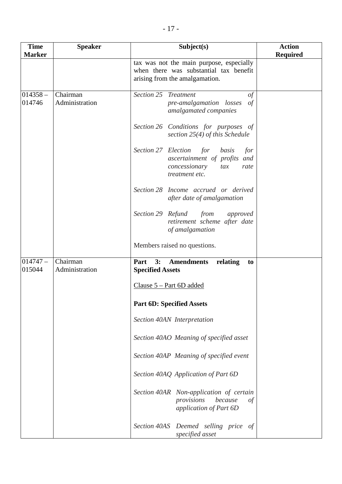| <b>Time</b><br><b>Marker</b> | <b>Speaker</b>             | Subject(s)                                                                                                                   | <b>Action</b>   |
|------------------------------|----------------------------|------------------------------------------------------------------------------------------------------------------------------|-----------------|
|                              |                            | tax was not the main purpose, especially<br>when there was substantial tax benefit<br>arising from the amalgamation.         | <b>Required</b> |
| $014358 -$<br>014746         | Chairman<br>Administration | Section 25<br><b>Treatment</b><br>$\sigma f$<br>pre-amalgamation losses<br>$\sigma f$<br>amalgamated companies               |                 |
|                              |                            | Section 26 Conditions for purposes of<br>section $25(4)$ of this Schedule                                                    |                 |
|                              |                            | Section 27 Election<br>for<br>basis<br>for<br>ascertainment of profits and<br>concessionary<br>tax<br>rate<br>treatment etc. |                 |
|                              |                            | Section 28 Income accrued or derived<br>after date of amalgamation                                                           |                 |
|                              |                            | Section 29 Refund<br>from<br>approved<br>retirement scheme after date<br>of amalgamation                                     |                 |
|                              |                            | Members raised no questions.                                                                                                 |                 |
| $014747-$<br>015044          | Chairman<br>Administration | 3:<br>Part<br><b>Amendments</b><br>relating<br>to<br><b>Specified Assets</b>                                                 |                 |
|                              |                            | Clause $5 - Part 6D added$                                                                                                   |                 |
|                              |                            | <b>Part 6D: Specified Assets</b>                                                                                             |                 |
|                              |                            | Section 40AN Interpretation                                                                                                  |                 |
|                              |                            | Section 40AO Meaning of specified asset                                                                                      |                 |
|                              |                            | Section 40AP Meaning of specified event                                                                                      |                 |
|                              |                            | Section 40AQ Application of Part 6D                                                                                          |                 |
|                              |                            | Section 40AR Non-application of certain<br>provisions<br>because<br>of<br>application of Part 6D                             |                 |
|                              |                            | Section 40AS Deemed selling price of<br>specified asset                                                                      |                 |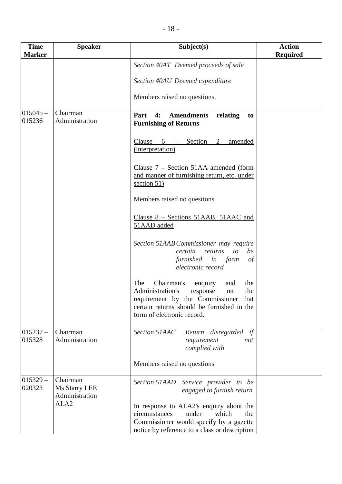| <b>Time</b><br><b>Marker</b> | <b>Speaker</b>                              | Subject(s)                                                                                                                                                                                               | <b>Action</b><br><b>Required</b> |
|------------------------------|---------------------------------------------|----------------------------------------------------------------------------------------------------------------------------------------------------------------------------------------------------------|----------------------------------|
|                              |                                             | Section 40AT Deemed proceeds of sale                                                                                                                                                                     |                                  |
|                              |                                             | Section 40AU Deemed expenditure                                                                                                                                                                          |                                  |
|                              |                                             | Members raised no questions.                                                                                                                                                                             |                                  |
| $015045 -$<br>015236         | Chairman<br>Administration                  | Part<br>4:<br><b>Amendments</b><br>relating<br>to<br><b>Furnishing of Returns</b>                                                                                                                        |                                  |
|                              |                                             | Clause $6 -$ Section 2<br>amended<br>(interpretation)                                                                                                                                                    |                                  |
|                              |                                             | Clause $7 -$ Section 51AA amended (form<br>and manner of furnishing return, etc. under<br>section $51$ )                                                                                                 |                                  |
|                              |                                             | Members raised no questions.                                                                                                                                                                             |                                  |
|                              |                                             | Clause 8 – Sections 51AAB, 51AAC and<br>51AAD added                                                                                                                                                      |                                  |
|                              |                                             | Section 51AAB Commissioner may require<br>certain<br>returns<br>to<br>be<br>furnished in form<br>of<br>electronic record                                                                                 |                                  |
|                              |                                             | Chairman's enquiry<br>The<br>the<br>and<br>Administration's<br>response<br>the<br>on<br>requirement by the Commissioner that<br>certain returns should be furnished in the<br>form of electronic record. |                                  |
| $015237 -$<br>015328         | Chairman<br>Administration                  | Section 51AAC<br>Return disregarded<br>if<br>requirement<br>not<br>complied with                                                                                                                         |                                  |
|                              |                                             | Members raised no questions                                                                                                                                                                              |                                  |
| $015329 -$<br>020323         | Chairman<br>Ms Starry LEE<br>Administration | Section 51AAD Service provider to be<br>engaged to furnish return                                                                                                                                        |                                  |
|                              | ALA <sub>2</sub>                            | In response to ALA2's enquiry about the<br>circumstances<br>under<br>which<br>the<br>Commissioner would specify by a gazette<br>notice by reference to a class or description                            |                                  |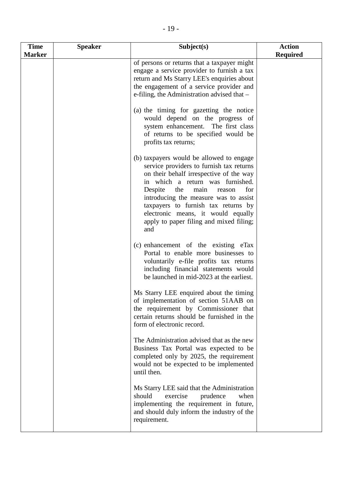| <b>Time</b>   | <b>Speaker</b> | Subject(s)                                                                              | <b>Action</b>   |
|---------------|----------------|-----------------------------------------------------------------------------------------|-----------------|
| <b>Marker</b> |                | of persons or returns that a taxpayer might                                             | <b>Required</b> |
|               |                | engage a service provider to furnish a tax                                              |                 |
|               |                | return and Ms Starry LEE's enquiries about                                              |                 |
|               |                | the engagement of a service provider and<br>e-filing, the Administration advised that - |                 |
|               |                |                                                                                         |                 |
|               |                | (a) the timing for gazetting the notice                                                 |                 |
|               |                | would depend on the progress of<br>system enhancement. The first class                  |                 |
|               |                | of returns to be specified would be                                                     |                 |
|               |                | profits tax returns;                                                                    |                 |
|               |                | (b) taxpayers would be allowed to engage<br>service providers to furnish tax returns    |                 |
|               |                | on their behalf irrespective of the way<br>in which a return was furnished.             |                 |
|               |                | Despite the<br>main<br>for<br>reason<br>introducing the measure was to assist           |                 |
|               |                | taxpayers to furnish tax returns by                                                     |                 |
|               |                | electronic means, it would equally<br>apply to paper filing and mixed filing;<br>and    |                 |
|               |                | (c) enhancement of the existing eTax                                                    |                 |
|               |                | Portal to enable more businesses to                                                     |                 |
|               |                | voluntarily e-file profits tax returns<br>including financial statements would          |                 |
|               |                | be launched in mid-2023 at the earliest.                                                |                 |
|               |                | Ms Starry LEE enquired about the timing                                                 |                 |
|               |                | of implementation of section 51AAB on<br>the requirement by Commissioner that           |                 |
|               |                | certain returns should be furnished in the                                              |                 |
|               |                | form of electronic record.                                                              |                 |
|               |                | The Administration advised that as the new<br>Business Tax Portal was expected to be    |                 |
|               |                | completed only by 2025, the requirement                                                 |                 |
|               |                | would not be expected to be implemented<br>until then.                                  |                 |
|               |                | Ms Starry LEE said that the Administration                                              |                 |
|               |                | should<br>exercise<br>prudence<br>when<br>implementing the requirement in future,       |                 |
|               |                | and should duly inform the industry of the                                              |                 |
|               |                | requirement.                                                                            |                 |